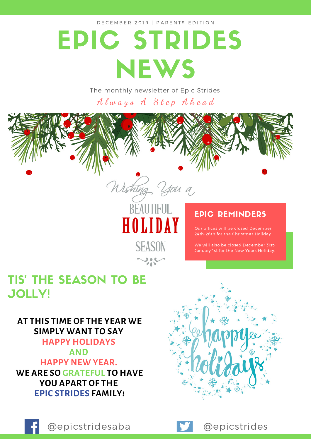D E C E M B E R 2019 | PAR ENTS EDITION

# EPIC STRIDES **NEWS**

The monthly newsletter of Epic Strides

Always A Step Ahead

Wishing you a

**BEAUTIFUL** 

HOLIDAY

**SEASON** 

### TIS' THE SEASON TO BE JOLLY!

**AT THIS TIME OF THE YEAR WE SIMPLY WANT TO SAY HAPPY HOLIDAYS AND HAPPY NEW YEAR. WE ARE SO GRATEFUL TO HAVE YOU APART OF THE EPIC STRIDES FAMILY!**

### EPIC REMINDERS

Our offices will be closed December 24th-26th for the Christmas Holiday.

We will also be closed December 31st-January 1st for the New Years Holiday.